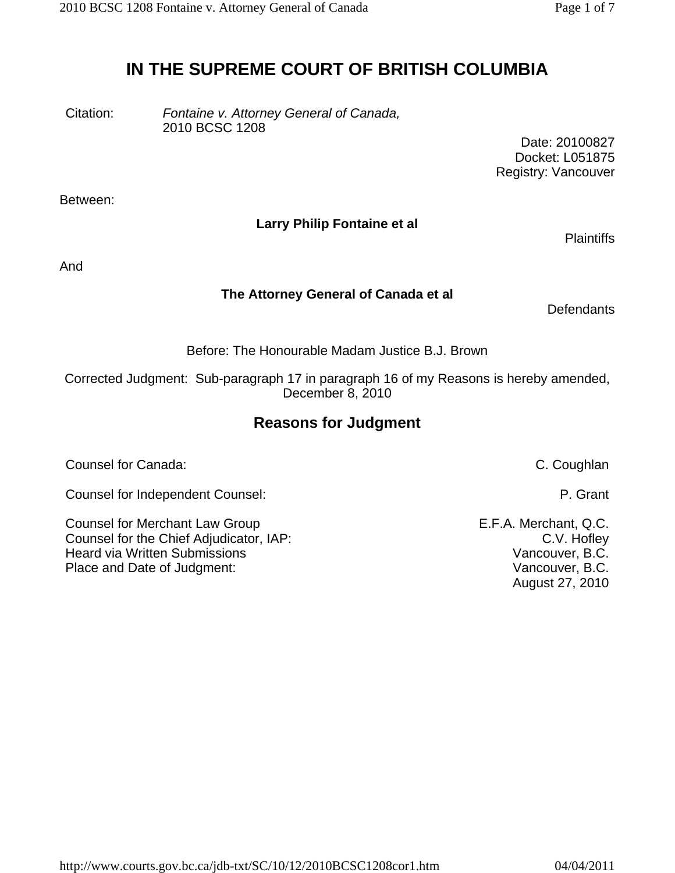# **IN THE SUPREME COURT OF BRITISH COLUMBIA**

Citation: *Fontaine v. Attorney General of Canada,* 2010 BCSC 1208

> Date: 20100827 Docket: L051875 Registry: Vancouver

Between:

### **Larry Philip Fontaine et al**

**Plaintiffs** 

And

### **The Attorney General of Canada et al**

**Defendants** 

Before: The Honourable Madam Justice B.J. Brown

Corrected Judgment: Sub-paragraph 17 in paragraph 16 of my Reasons is hereby amended, December 8, 2010

## **Reasons for Judgment**

Counsel for Canada: C. Coughlan

Counsel for Independent Counsel: P. Grant

Counsel for Merchant Law Group **E.F.A. Merchant, Q.C.** Counsel for the Chief Adjudicator, IAP: COUNSERVIEW CONNUMERTY C.V. Hofley Heard via Written Submissions **Vancouver, B.C.** Vancouver, B.C. Place and Date of Judgment: Vancouver, B.C.

August 27, 2010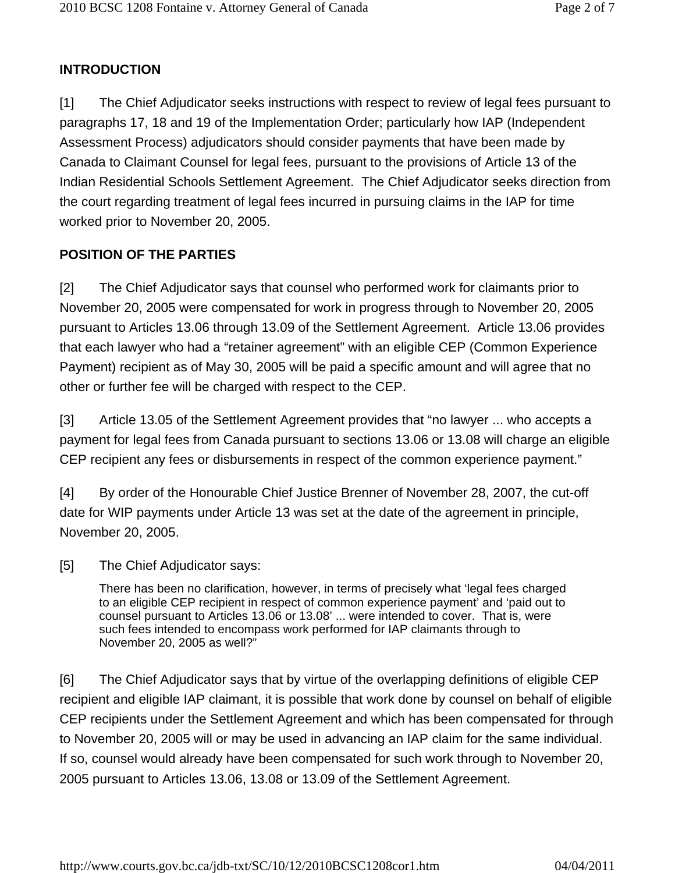## **INTRODUCTION**

[1] The Chief Adjudicator seeks instructions with respect to review of legal fees pursuant to paragraphs 17, 18 and 19 of the Implementation Order; particularly how IAP (Independent Assessment Process) adjudicators should consider payments that have been made by Canada to Claimant Counsel for legal fees, pursuant to the provisions of Article 13 of the Indian Residential Schools Settlement Agreement. The Chief Adjudicator seeks direction from the court regarding treatment of legal fees incurred in pursuing claims in the IAP for time worked prior to November 20, 2005.

## **POSITION OF THE PARTIES**

[2] The Chief Adjudicator says that counsel who performed work for claimants prior to November 20, 2005 were compensated for work in progress through to November 20, 2005 pursuant to Articles 13.06 through 13.09 of the Settlement Agreement. Article 13.06 provides that each lawyer who had a "retainer agreement" with an eligible CEP (Common Experience Payment) recipient as of May 30, 2005 will be paid a specific amount and will agree that no other or further fee will be charged with respect to the CEP.

[3] Article 13.05 of the Settlement Agreement provides that "no lawyer ... who accepts a payment for legal fees from Canada pursuant to sections 13.06 or 13.08 will charge an eligible CEP recipient any fees or disbursements in respect of the common experience payment."

[4] By order of the Honourable Chief Justice Brenner of November 28, 2007, the cut-off date for WIP payments under Article 13 was set at the date of the agreement in principle, November 20, 2005.

[5] The Chief Adjudicator says:

There has been no clarification, however, in terms of precisely what 'legal fees charged to an eligible CEP recipient in respect of common experience payment' and 'paid out to counsel pursuant to Articles 13.06 or 13.08' ... were intended to cover. That is, were such fees intended to encompass work performed for IAP claimants through to November 20, 2005 as well?"

[6] The Chief Adjudicator says that by virtue of the overlapping definitions of eligible CEP recipient and eligible IAP claimant, it is possible that work done by counsel on behalf of eligible CEP recipients under the Settlement Agreement and which has been compensated for through to November 20, 2005 will or may be used in advancing an IAP claim for the same individual. If so, counsel would already have been compensated for such work through to November 20, 2005 pursuant to Articles 13.06, 13.08 or 13.09 of the Settlement Agreement.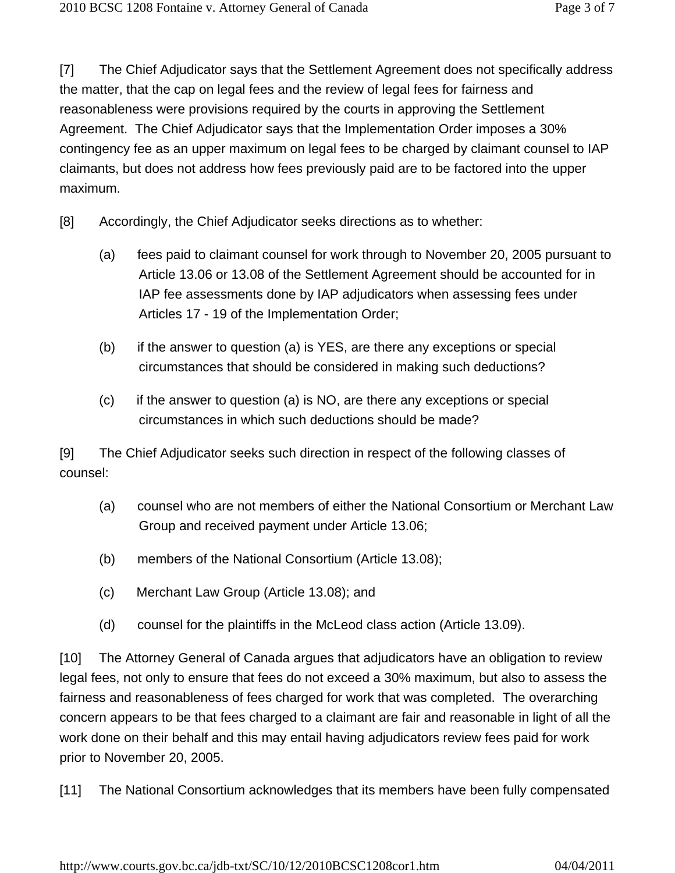[7] The Chief Adjudicator says that the Settlement Agreement does not specifically address the matter, that the cap on legal fees and the review of legal fees for fairness and reasonableness were provisions required by the courts in approving the Settlement Agreement. The Chief Adjudicator says that the Implementation Order imposes a 30% contingency fee as an upper maximum on legal fees to be charged by claimant counsel to IAP claimants, but does not address how fees previously paid are to be factored into the upper maximum.

- [8] Accordingly, the Chief Adjudicator seeks directions as to whether:
	- (a) fees paid to claimant counsel for work through to November 20, 2005 pursuant to Article 13.06 or 13.08 of the Settlement Agreement should be accounted for in IAP fee assessments done by IAP adjudicators when assessing fees under Articles 17 - 19 of the Implementation Order;
	- (b) if the answer to question (a) is YES, are there any exceptions or special circumstances that should be considered in making such deductions?
	- (c) if the answer to question (a) is NO, are there any exceptions or special circumstances in which such deductions should be made?

[9] The Chief Adjudicator seeks such direction in respect of the following classes of counsel:

- (a) counsel who are not members of either the National Consortium or Merchant Law Group and received payment under Article 13.06;
- (b) members of the National Consortium (Article 13.08);
- (c) Merchant Law Group (Article 13.08); and
- (d) counsel for the plaintiffs in the McLeod class action (Article 13.09).

[10] The Attorney General of Canada argues that adjudicators have an obligation to review legal fees, not only to ensure that fees do not exceed a 30% maximum, but also to assess the fairness and reasonableness of fees charged for work that was completed. The overarching concern appears to be that fees charged to a claimant are fair and reasonable in light of all the work done on their behalf and this may entail having adjudicators review fees paid for work prior to November 20, 2005.

[11] The National Consortium acknowledges that its members have been fully compensated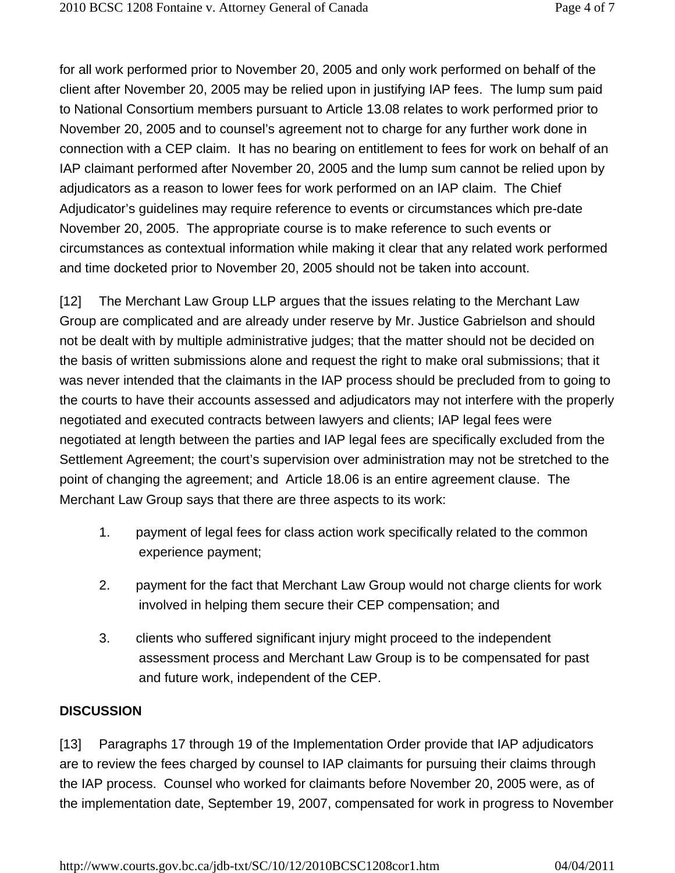for all work performed prior to November 20, 2005 and only work performed on behalf of the client after November 20, 2005 may be relied upon in justifying IAP fees. The lump sum paid to National Consortium members pursuant to Article 13.08 relates to work performed prior to November 20, 2005 and to counsel's agreement not to charge for any further work done in connection with a CEP claim. It has no bearing on entitlement to fees for work on behalf of an IAP claimant performed after November 20, 2005 and the lump sum cannot be relied upon by adjudicators as a reason to lower fees for work performed on an IAP claim. The Chief Adjudicator's guidelines may require reference to events or circumstances which pre-date November 20, 2005. The appropriate course is to make reference to such events or circumstances as contextual information while making it clear that any related work performed and time docketed prior to November 20, 2005 should not be taken into account.

[12] The Merchant Law Group LLP argues that the issues relating to the Merchant Law Group are complicated and are already under reserve by Mr. Justice Gabrielson and should not be dealt with by multiple administrative judges; that the matter should not be decided on the basis of written submissions alone and request the right to make oral submissions; that it was never intended that the claimants in the IAP process should be precluded from to going to the courts to have their accounts assessed and adjudicators may not interfere with the properly negotiated and executed contracts between lawyers and clients; IAP legal fees were negotiated at length between the parties and IAP legal fees are specifically excluded from the Settlement Agreement; the court's supervision over administration may not be stretched to the point of changing the agreement; and Article 18.06 is an entire agreement clause. The Merchant Law Group says that there are three aspects to its work:

- 1. payment of legal fees for class action work specifically related to the common experience payment;
- 2. payment for the fact that Merchant Law Group would not charge clients for work involved in helping them secure their CEP compensation; and
- 3. clients who suffered significant injury might proceed to the independent assessment process and Merchant Law Group is to be compensated for past and future work, independent of the CEP.

### **DISCUSSION**

[13] Paragraphs 17 through 19 of the Implementation Order provide that IAP adjudicators are to review the fees charged by counsel to IAP claimants for pursuing their claims through the IAP process. Counsel who worked for claimants before November 20, 2005 were, as of the implementation date, September 19, 2007, compensated for work in progress to November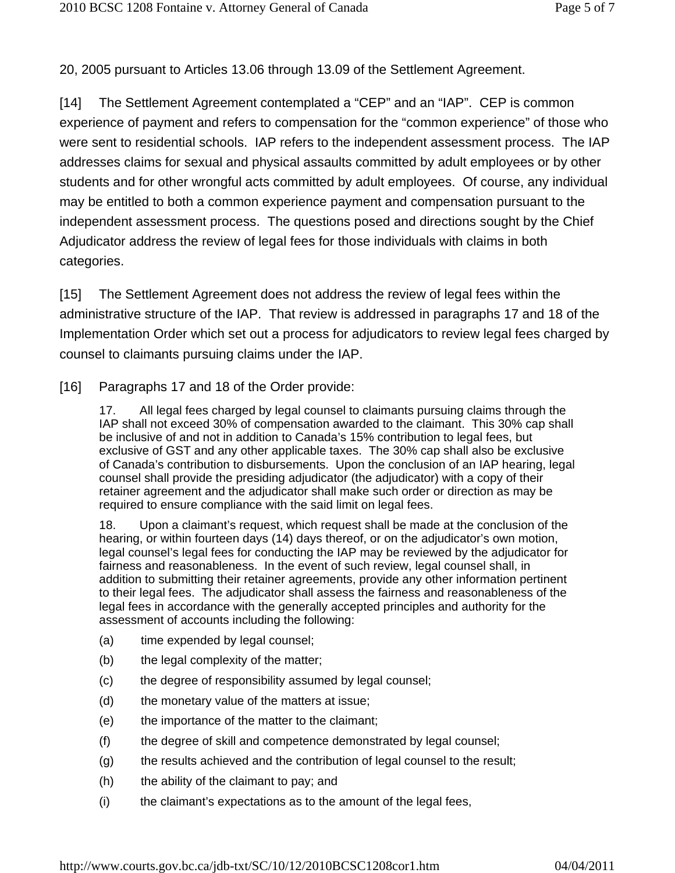20, 2005 pursuant to Articles 13.06 through 13.09 of the Settlement Agreement.

[14] The Settlement Agreement contemplated a "CEP" and an "IAP". CEP is common experience of payment and refers to compensation for the "common experience" of those who were sent to residential schools. IAP refers to the independent assessment process. The IAP addresses claims for sexual and physical assaults committed by adult employees or by other students and for other wrongful acts committed by adult employees. Of course, any individual may be entitled to both a common experience payment and compensation pursuant to the independent assessment process. The questions posed and directions sought by the Chief Adjudicator address the review of legal fees for those individuals with claims in both categories.

[15] The Settlement Agreement does not address the review of legal fees within the administrative structure of the IAP. That review is addressed in paragraphs 17 and 18 of the Implementation Order which set out a process for adjudicators to review legal fees charged by counsel to claimants pursuing claims under the IAP.

[16] Paragraphs 17 and 18 of the Order provide:

17. All legal fees charged by legal counsel to claimants pursuing claims through the IAP shall not exceed 30% of compensation awarded to the claimant. This 30% cap shall be inclusive of and not in addition to Canada's 15% contribution to legal fees, but exclusive of GST and any other applicable taxes. The 30% cap shall also be exclusive of Canada's contribution to disbursements. Upon the conclusion of an IAP hearing, legal counsel shall provide the presiding adjudicator (the adjudicator) with a copy of their retainer agreement and the adjudicator shall make such order or direction as may be required to ensure compliance with the said limit on legal fees.

18. Upon a claimant's request, which request shall be made at the conclusion of the hearing, or within fourteen days (14) days thereof, or on the adjudicator's own motion, legal counsel's legal fees for conducting the IAP may be reviewed by the adjudicator for fairness and reasonableness. In the event of such review, legal counsel shall, in addition to submitting their retainer agreements, provide any other information pertinent to their legal fees. The adjudicator shall assess the fairness and reasonableness of the legal fees in accordance with the generally accepted principles and authority for the assessment of accounts including the following:

- (a) time expended by legal counsel;
- (b) the legal complexity of the matter;
- (c) the degree of responsibility assumed by legal counsel;
- (d) the monetary value of the matters at issue;
- (e) the importance of the matter to the claimant;
- (f) the degree of skill and competence demonstrated by legal counsel;
- (g) the results achieved and the contribution of legal counsel to the result;
- (h) the ability of the claimant to pay; and
- (i) the claimant's expectations as to the amount of the legal fees,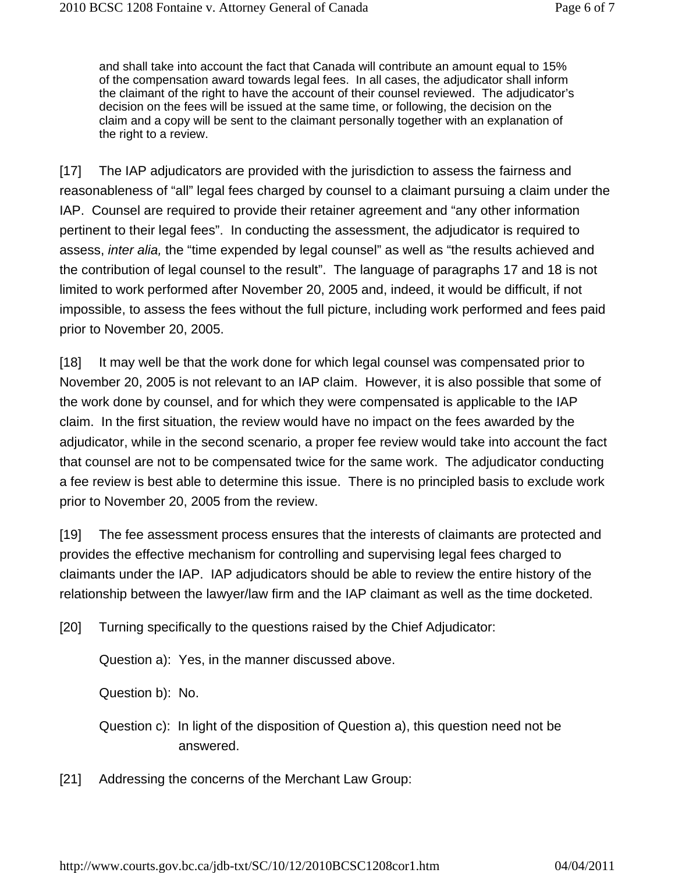and shall take into account the fact that Canada will contribute an amount equal to 15% of the compensation award towards legal fees. In all cases, the adjudicator shall inform the claimant of the right to have the account of their counsel reviewed. The adjudicator's decision on the fees will be issued at the same time, or following, the decision on the claim and a copy will be sent to the claimant personally together with an explanation of the right to a review.

[17] The IAP adjudicators are provided with the jurisdiction to assess the fairness and reasonableness of "all" legal fees charged by counsel to a claimant pursuing a claim under the IAP. Counsel are required to provide their retainer agreement and "any other information pertinent to their legal fees". In conducting the assessment, the adjudicator is required to assess, *inter alia,* the "time expended by legal counsel" as well as "the results achieved and the contribution of legal counsel to the result". The language of paragraphs 17 and 18 is not limited to work performed after November 20, 2005 and, indeed, it would be difficult, if not impossible, to assess the fees without the full picture, including work performed and fees paid prior to November 20, 2005.

[18] It may well be that the work done for which legal counsel was compensated prior to November 20, 2005 is not relevant to an IAP claim. However, it is also possible that some of the work done by counsel, and for which they were compensated is applicable to the IAP claim. In the first situation, the review would have no impact on the fees awarded by the adjudicator, while in the second scenario, a proper fee review would take into account the fact that counsel are not to be compensated twice for the same work. The adjudicator conducting a fee review is best able to determine this issue. There is no principled basis to exclude work prior to November 20, 2005 from the review.

[19] The fee assessment process ensures that the interests of claimants are protected and provides the effective mechanism for controlling and supervising legal fees charged to claimants under the IAP. IAP adjudicators should be able to review the entire history of the relationship between the lawyer/law firm and the IAP claimant as well as the time docketed.

[20] Turning specifically to the questions raised by the Chief Adjudicator:

Question a): Yes, in the manner discussed above.

Question b): No.

Question c): In light of the disposition of Question a), this question need not be answered.

[21] Addressing the concerns of the Merchant Law Group: